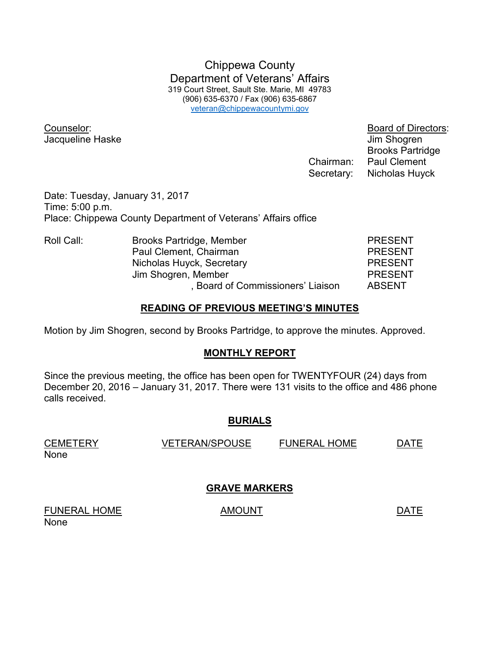Chippewa County Department of Veterans' Affairs 319 Court Street, Sault Ste. Marie, MI 49783 (906) 635-6370 / Fax (906) 635-6867 veteran@chippewacountymi.gov

Counselor: Board of Directors: Jacqueline Haske Jacqueline Haske June 1999

 Brooks Partridge Chairman: Paul Clement Secretary: Nicholas Huyck

Date: Tuesday, January 31, 2017 Time: 5:00 p.m. Place: Chippewa County Department of Veterans' Affairs office

| Roll Call: | Brooks Partridge, Member               | <b>PRESENT</b> |
|------------|----------------------------------------|----------------|
|            | Paul Clement, Chairman                 | <b>PRESENT</b> |
|            | Nicholas Huyck, Secretary              | <b>PRESENT</b> |
|            | Jim Shogren, Member                    | <b>PRESENT</b> |
|            | <b>Board of Commissioners' Liaison</b> | <b>ABSENT</b>  |

### **READING OF PREVIOUS MEETING'S MINUTES**

Motion by Jim Shogren, second by Brooks Partridge, to approve the minutes. Approved.

# **MONTHLY REPORT**

Since the previous meeting, the office has been open for TWENTYFOUR (24) days from December 20, 2016 – January 31, 2017. There were 131 visits to the office and 486 phone calls received.

# **BURIALS**

| <b>CEMETERY</b> | <b>VETERAN/SPOUSE</b> | <b>FUNERAL HOME</b> | DATF |
|-----------------|-----------------------|---------------------|------|
| None            |                       |                     |      |

# **GRAVE MARKERS**

FUNERAL HOME AMOUNT AMOUNT None